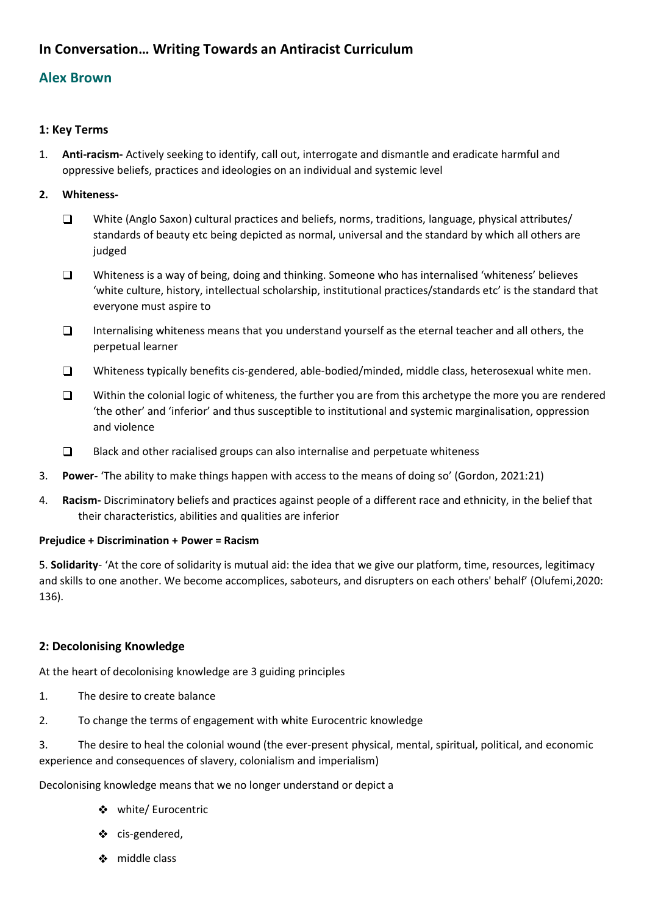# **In Conversation… Writing Towards an Antiracist Curriculum**

# **Alex Brown**

# **1: Key Terms**

1. **Anti-racism-** Actively seeking to identify, call out, interrogate and dismantle and eradicate harmful and oppressive beliefs, practices and ideologies on an individual and systemic level

## **2. Whiteness-**

- $\Box$ White (Anglo Saxon) cultural practices and beliefs, norms, traditions, language, physical attributes/ standards of beauty etc being depicted as normal, universal and the standard by which all others are judged
- $\Box$ Whiteness is a way of being, doing and thinking. Someone who has internalised 'whiteness' believes 'white culture, history, intellectual scholarship, institutional practices/standards etc' is the standard that everyone must aspire to
- $\Box$ Internalising whiteness means that you understand yourself as the eternal teacher and all others, the perpetual learner
- $\Box$ Whiteness typically benefits cis-gendered, able-bodied/minded, middle class, heterosexual white men.
- $\Box$ Within the colonial logic of whiteness, the further you are from this archetype the more you are rendered 'the other' and 'inferior' and thus susceptible to institutional and systemic marginalisation, oppression and violence
- $\Box$ Black and other racialised groups can also internalise and perpetuate whiteness
- 3. **Power-** 'The ability to make things happen with access to the means of doing so' (Gordon, 2021:21)
- 4. **Racism-** Discriminatory beliefs and practices against people of a different race and ethnicity, in the belief that their characteristics, abilities and qualities are inferior

## **Prejudice + Discrimination + Power = Racism**

5. **Solidarity**- 'At the core of solidarity is mutual aid: the idea that we give our platform, time, resources, legitimacy and skills to one another. We become accomplices, saboteurs, and disrupters on each others' behalf' (Olufemi,2020: 136).

# **2: Decolonising Knowledge**

At the heart of decolonising knowledge are 3 guiding principles

- 1. The desire to create balance
- 2. To change the terms of engagement with white Eurocentric knowledge

3. The desire to heal the colonial wound (the ever-present physical, mental, spiritual, political, and economic experience and consequences of slavery, colonialism and imperialism)

## Decolonising knowledge means that we no longer understand or depict a

- white/ Eurocentric
- cis-gendered,
- ❖ middle class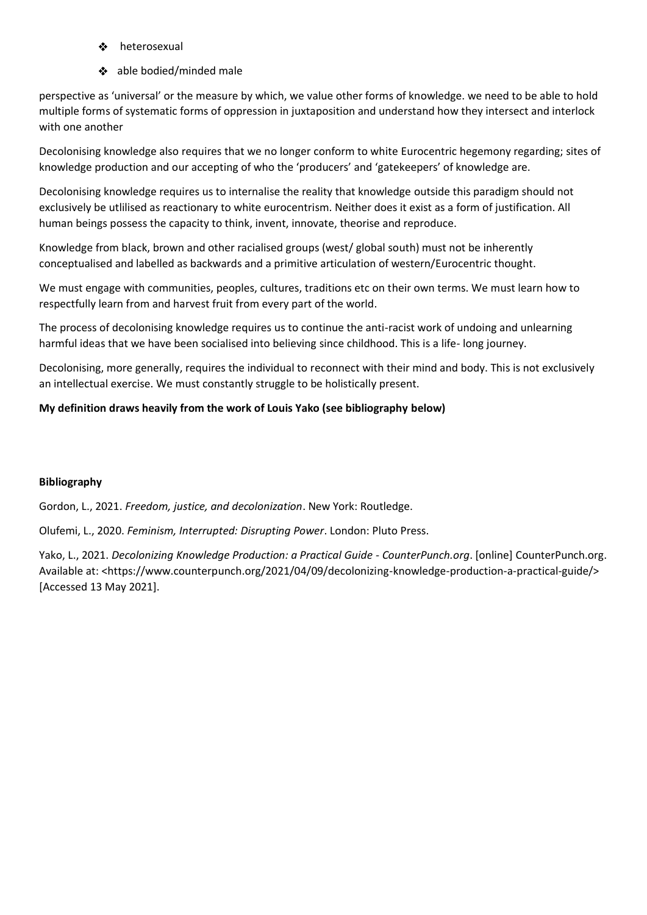- heterosexual مجم
- able bodied/minded male

perspective as 'universal' or the measure by which, we value other forms of knowledge. we need to be able to hold multiple forms of systematic forms of oppression in juxtaposition and understand how they intersect and interlock with one another

Decolonising knowledge also requires that we no longer conform to white Eurocentric hegemony regarding; sites of knowledge production and our accepting of who the 'producers' and 'gatekeepers' of knowledge are.

Decolonising knowledge requires us to internalise the reality that knowledge outside this paradigm should not exclusively be utlilised as reactionary to white eurocentrism. Neither does it exist as a form of justification. All human beings possess the capacity to think, invent, innovate, theorise and reproduce.

Knowledge from black, brown and other racialised groups (west/ global south) must not be inherently conceptualised and labelled as backwards and a primitive articulation of western/Eurocentric thought.

We must engage with communities, peoples, cultures, traditions etc on their own terms. We must learn how to respectfully learn from and harvest fruit from every part of the world.

The process of decolonising knowledge requires us to continue the anti-racist work of undoing and unlearning harmful ideas that we have been socialised into believing since childhood. This is a life- long journey.

Decolonising, more generally, requires the individual to reconnect with their mind and body. This is not exclusively an intellectual exercise. We must constantly struggle to be holistically present.

## **My definition draws heavily from the work of Louis Yako (see bibliography below)**

#### **Bibliography**

Gordon, L., 2021. *Freedom, justice, and decolonization*. New York: Routledge.

Olufemi, L., 2020. *Feminism, Interrupted: Disrupting Power*. London: Pluto Press.

Yako, L., 2021. *Decolonizing Knowledge Production: a Practical Guide - CounterPunch.org*. [online] CounterPunch.org. Available at: <https://www.counterpunch.org/2021/04/09/decolonizing-knowledge-production-a-practical-guide/> [Accessed 13 May 2021].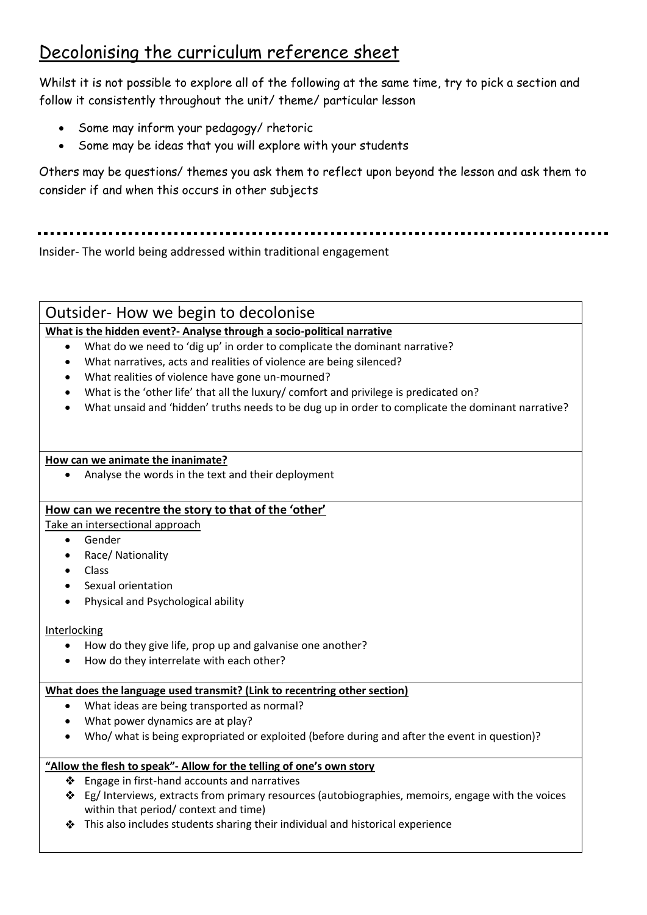# Decolonising the curriculum reference sheet

Whilst it is not possible to explore all of the following at the same time, try to pick a section and follow it consistently throughout the unit/ theme/ particular lesson

- Some may inform your pedagogy/ rhetoric
- Some may be ideas that you will explore with your students

Others may be questions/ themes you ask them to reflect upon beyond the lesson and ask them to consider if and when this occurs in other subjects

Insider- The world being addressed within traditional engagement

# Outsider- How we begin to decolonise

# **What is the hidden event?- Analyse through a socio-political narrative**

- What do we need to 'dig up' in order to complicate the dominant narrative?
- What narratives, acts and realities of violence are being silenced?
- What realities of violence have gone un-mourned?
- What is the 'other life' that all the luxury/ comfort and privilege is predicated on?
- What unsaid and 'hidden' truths needs to be dug up in order to complicate the dominant narrative?

# **How can we animate the inanimate?**

• Analyse the words in the text and their deployment

# **How can we recentre the story to that of the 'other'**

Take an intersectional approach

- Gender
- Race/ Nationality
- Class
- Sexual orientation
- Physical and Psychological ability

## Interlocking

- How do they give life, prop up and galvanise one another?
- How do they interrelate with each other?

## **What does the language used transmit? (Link to recentring other section)**

- What ideas are being transported as normal?
- What power dynamics are at play?
- Who/ what is being expropriated or exploited (before during and after the event in question)?

# **"Allow the flesh to speak"- Allow for the telling of one's own story**

- Engage in first-hand accounts and narratives
- $\triangleleft$  Eg/ Interviews, extracts from primary resources (autobiographies, memoirs, engage with the voices within that period/ context and time)
- This also includes students sharing their individual and historical experience